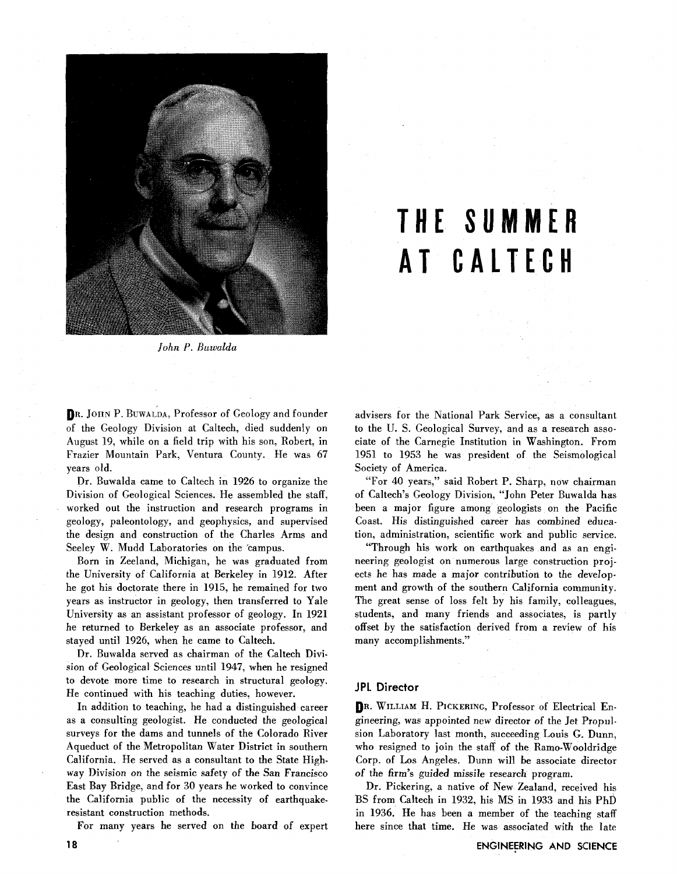

# **THE SUMMER AT CALTECH**

*John P. Buwalda* 

DR. JOHN P. BUWALDA, Professor of Geology and founder of the Geology Division at Caltech, died suddenly on August 19, while on a field trip with his son, Robert, in Frazier Mountain Park, Ventura County. He was 67 years old.

Dr. Buwalda came to Caltech in 1926 to organize the Division of Geological Sciences. He assembled the staff, worked out the instruction and research programs in geology, paleontology, and geophysics, and supervised the design and construction of the Charles Arms and Seeley W. Mudd Laboratories on the 'campus.

Born in Zeeland, Michigan, he was graduated from the University of California at Berkeley in 1912. After he got his doctorate there in 1915, he remained for two years as instructor in geology, then transferred to Yale University as an assistant professor of geology. In 1921 he returned to Berkeley as an associate professor, and stayed until 1926, when he came to Caltech.

Dr. Buwalda served as chairman of the Caltech Division of Geological Sciences until 1947, when he resigned to devote more time to research in structural geology. He continued with his teaching duties, however.

In addition to teaching, he had a distinguished career as a consulting geologist. He conducted the geological surveys for the dams and tunnels of the Colorado River Aqueduct of the Metropolitan Water District in southern California. He served as a consultant to the State Highway Division on the seismic safety of the San Francisco East Bay Bridge, and for 30 years he worked to convince the California public of the necessity of earthquakeresistant construction methods.

For many years he served on the board of expert

advisers for the National Park Service, as a consultant to the U. S. Geological Survey, and as a research associate of the Carnegie Institution in Washington. From 1951 to 1953 he was president of the Seismological Society of America.

"For 40 years," said Robert P. Sharp, now chairman of Caltech's Geology Division, "John Peter Buwalda has been a major figure among geologists on the Pacific Coast. His distinguished career has combined education, administration, scientific work and public service.

"Through his work on earthquakes and as an engineering geologist on numerous large construction projects he has made a major contribution to the development and growth of the southern California community. The great sense of loss felt by his family, colleagues, students, and many friends and associates, is partly offset by the satisfaction derived from a review of his many accomplishments."

#### **JPL Director**

DR. WILLIAM H. PICICERING, Professor of Electrical Engineering, was appointed new director of the Jet Propulsion Laboratory last month, succeeding Louis G. Dunn, who resigned to join the staff of the Ramo-Wooldridge Corp. of Los Angeles. Dunn will be associate director of the firm's guided missile research program.

Dr. Pickering, a native of New Zealand, received his BS from Caltech in 1932, his MS in 1933 and his PhD in 1936. He has been a member of the teaching staff here since that time. He was associated with the late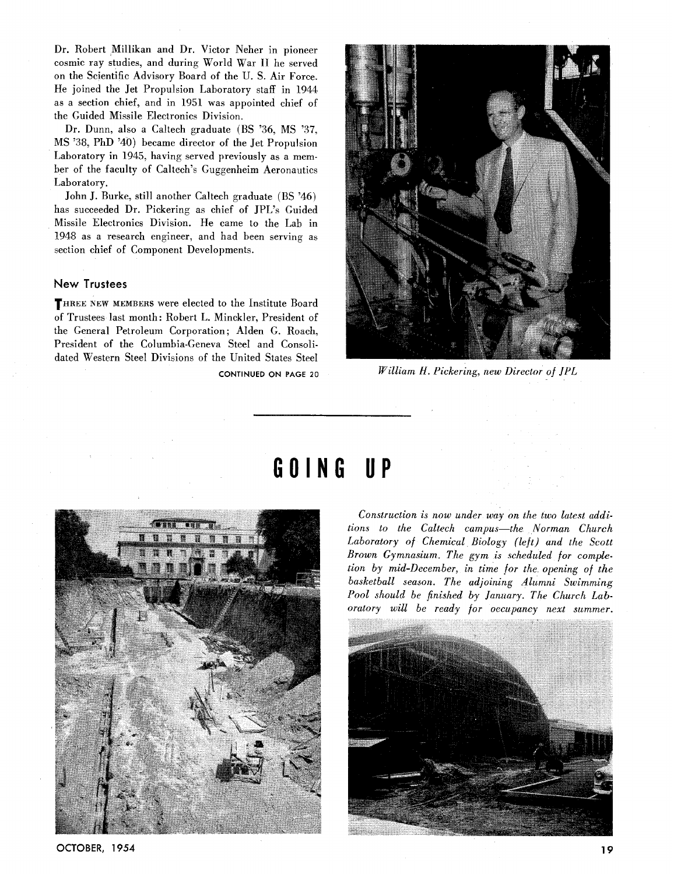Dr. Robert Millikan and Dr. Victor Neher in pioneer cosmic ray studies, and during World War **I1** he served on the Scientific Advisory Board of the U. S. Air Force. He joined the Jet Propulsion Laboratory staff in 1944 as a section chief, and in 1951 was appointed chief of the Guided Missile Electronics Division.

Dr. Dunn, also a Caltech graduate (BS '36, MS '37, MS '38, PhD '40) became director of the Jet Propulsion Laboratory in 1945, having served previously as a member of the faculty of Caltech's Guggenheim Aeronautics Laboratory.

John J. Burke, still another Caltech graduate (BS '46) has succeeded Dr. Pickering as chief of JPL's Guided Missile Electronics Division. He came to the Lab in 1948 as a research engineer, and had been serving as section chief of Component Developments.

#### **New Trustees**

**THREE NEW MEMBERS** were elected to the Institute Board of Trustees last month: Robert L. Minckler, President of the General Petroleum Corporation; Alden G. Roach, President of the Columbia-Geneva Steel and Consolidated Western Steel Divisions of the United States Steel



**CONTINUED ON PAGE 20** *William H. Pickering, new Director of JPL* 



# GOING UP

*Construction is now under way on the two latest additions to the Caltech campus-the Norman Church Laboratory of Chemical Biology (left) and the Scott Brown Gymnasium. The gym is scheduled for completion by mid-December, in time for the opening of the basketball season. The adjoining Alumni Swimming Pool should be finished by January. The Church Laboratory will be ready for occupancy next summer.* 



**OCTOBER, 1954**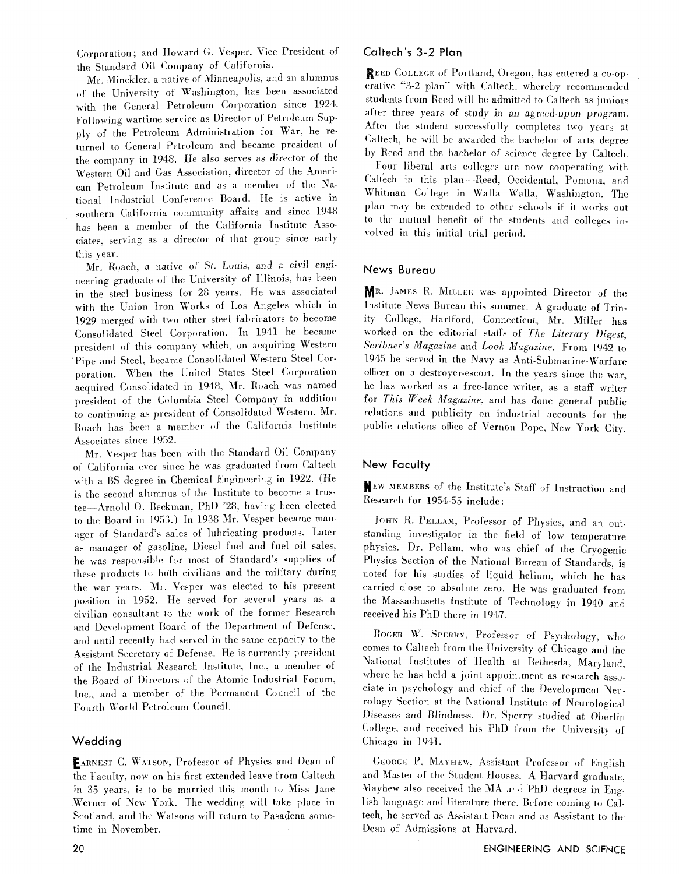Corporation; and Howard *G.* Vesper, Vice President of the Standard Oil Company of California.

Mr. Minckler, a native of Minneapolis, and an alumnus of the University of Washington, has been associated with the General Petroleum Corporation since 1924. Following wartime service as Director of Petroleum Supply of the Petroleum Administration for War, he returned to General Petroleum and became president of the company in 1948. He also serves as director of the Western Oil and Ga& Association. director **of** the American Petroleum Institute and as a member of the National Industrial Conference Board. He is active in southern California community affairs and since 1948 has been a member of the California Institute Associates. serving as a director of that group since early this year.

Mr. Roach. a native of St. Louis. and a civil engineering graduate of the University of Illinois. has been in the steel business for 28 years. He was associated with the Union Iron Works of Los Angeles which in 1929 merged with two other steel fabricators to become Consolidated Steel Corporation. In 1941 he became president of this company which, on acquiring Western Pipe and Steel. became Consolidated Western Steel Corporation. When the United States Steel Corporation acquired Consolidated in 1948. Mr. Roach was named president of the Columbia Steel Company in addition to continuing as president of Consolidated Western. Mr. Roach lias been a member **of** the California Institute Associates since 1952.

Mr. Vesper has been with the Standard Oil Company of California ever since he was graduated from Caltech with a BS degree in Chemical Engineering in 1922. (He is the second alumnus of the Institute to become a trustee-Arnold O. Beckman, PhD '28, having been elected to the Board in 1953.) In 1938 Mr. Vesper became manager of Standard's sales of lubricating products. Later as manager of gasoline, Diesel fuel and fuel oil sales, he was responsible for most of Standard's supplies of these products to both civilians and the military during the war years. Mr. Vesper was elected to his present position in 1952. He served for several years as a civilian consultant to the work of the former Research and Development Board of the Department of Defense. and until recently had served in the same capacity to the Assistant Secretary of Defense. He is currently president of the Industrial Research Institute, Inc.. a member of the Board of Directors of the Atomic Industrial Forum. Tnc.. and a member of the Permanent Council of the Fourth World Petroleum Council.

#### Wedding

EARNEST C. WATSON, Professor of Physics and Dean of the Faculty, now on his first extended leave from Caltech in 35 years, is to be married this month to Miss Jane Werner of New York. The wedding will take place in Scotland. and the Watsons will return to Pasadena sometime in November,

### Caltech's 3-2 Plan

REED COLLEGE of Portland, Oregon, has entered a co-opcrative "3-2 plan"' with Calteeh. whereby recommended students from Reed will be admitted to Caltech as juniors after three years of study in an agreed-upon program. After the student successfully completes two years at Caltech. he will be awarded the bachelor of arts degree hy Reed and the bachelor of science degree by Caltech,

Four liberal arts colleges are now cooperating with Caltech in this plan-Reed. Occidental, Pomona, and Whitman College in Walla Walla, Washington. The plan may be extended to other schools if it works out to the mutual benefit of the students and colleges in volved in this initial trial period.

#### News Bureau

MR. JAMES R. MILLER was appointed Director of the Institute News Bureau this summer. A graduate of Trinity College, Hartford, Connecticut, Mr. Miller has worked on the editorial staffs of *The Literary Dipst, Scribner's Magazine* and *Look Magazine.* From 1942 to 1945 he served in the *Navy* as Anti-Submarine-Warfare officer on a destroyer-escort. In the years since the war, he has worked as a free-lance writer, as a staff writer for **This** *Wrek Maguzine.* and has done general public relations and publicity on industrial accounts for the public relations office of Vernon Pope. New York City.

# New Faculty

WEW MEMBERS of the Institute's Staff of Instruction and Research for 1954-55 include:

JOHN R. PELLAM, Professor of Physics, and an outstanding investigator in the field of low temperature physics. Dr. Pellam, who was chief of the Cryogenic Physics Section of the National Bureau of Standards, is noted for his studies of liquid helium, which he has carried close to absolute zero. He was graduated from the Massachusetts Institute of Technology in 1940 and received his PhD there in 1947.

ROGER W. SPERRY, Professor of Psychology, who comes to Caltech from the University of Chicago and the National Institutes of Health at Bethesda, Maryland, where he has held a joint appointment as research associate in psychology and chief of the Development Neurology Section **at** the National Institute of Neurological Diseases and Blindness. Dr. Sperry studied at Oberlin College, and received his PhD from the University of Chicago in 1941.

GEORGE P. MAYHEW, Assistant Professor of English and Master of the Student Houses. A Harvard graduate, Mayhew also received the MA and PhD degrees in  $E_{\text{H}g}$ . lish language and literature there. Before coming to Caltech, he served as Assistant Dean and as Assistant to the Dean of Admissions at Harvard.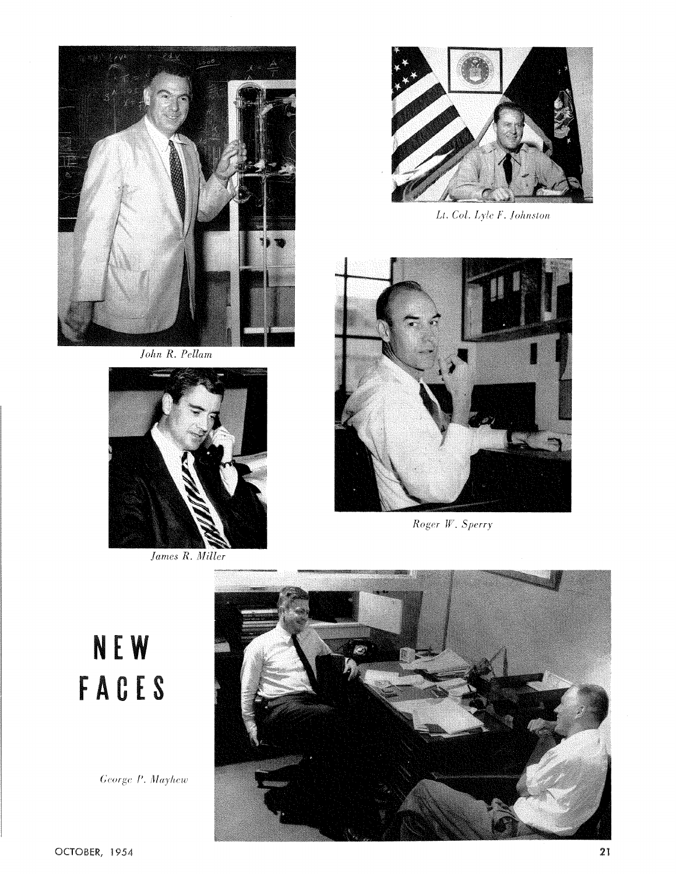

*John R. Pellam* 



*James R. Miller* 



Lt. Col. Lyle F. Johnston



Roger W. Sperry

**NEW** FACES

George P. Mayhew

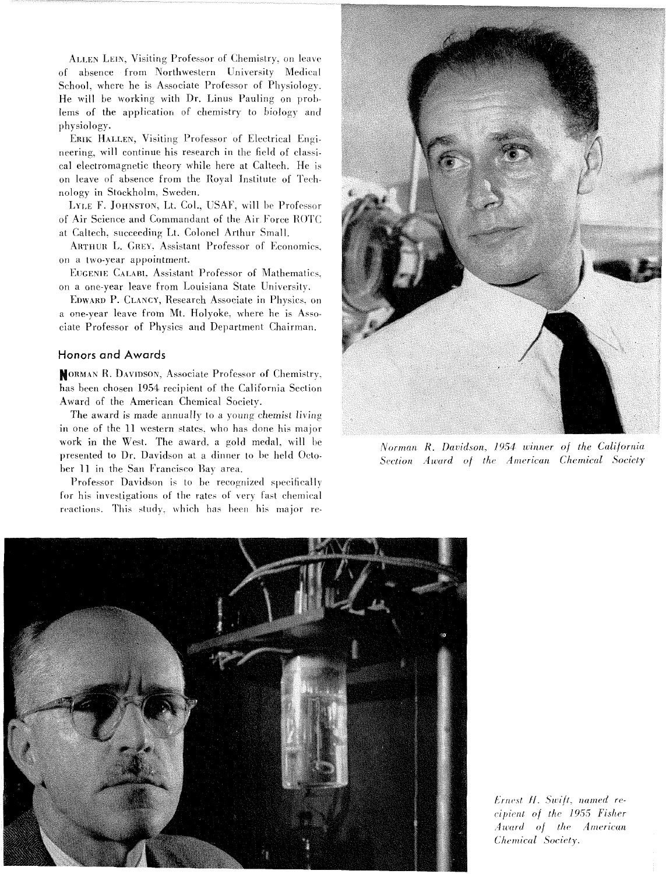ALLEN LEIN, Visiting Professor of Chemistry, on leave of absence from Northwestern University Medical School, where he is Associate Professor of Physiology. He will be working with Dr. Linus Pauling on problems of the application of chemistry to biology and physiology.

ERIK HALLEN, Visiting Professor of Electrical Engineering, will continue his research in the field of classical electromagnetic theory while here at Caltech. He is on leave of absence from the Royal Institute of Technology in Stockholm, Sweden.

LYLE F. JOHNSTON, Lt. Col., USAF, will be Professor of Air Science and Commandant of the Air Force ROTC at Caltech, succeeding Lt. Colonel Arthur Small.

ARTHUR L. GREY, Assistant Professor of Economics. on a two-year appointment.

EUGENIE CALABI, Assistant Professor of Mathematics. on a one-year leave from Louisiana State University.

EDWARD P. CLANCY, Research Associate in Physics, on a one-year leave from Mt. Holyoke, where he is Associate Professor of Physics and Department Chairman.

#### **Honors and Awards**

MORMAN R. DAVIDSON, Associate Professor of Chemistry, has been chosen 1954 recipient of the California Section Award of the American Chemical Society.

The award is made annually to a young chemist living in one of the 11 western states, who has done his major work in the West. The award, a gold medal, will be presented to Dr. Davidson at a dinner to be held October 11 in the San Francisco Bay area.

Professor Davidson is to be recognized specifically for his investigations of the rates of very fast chemical reactions. This study, which has been his major re-



Norman R. Davidson, 1954 winner of the California Section Award of the American Chemical Society



Ernest H. Swift, named recipient of the 1955 Fisher Award of the American Chemical Society.